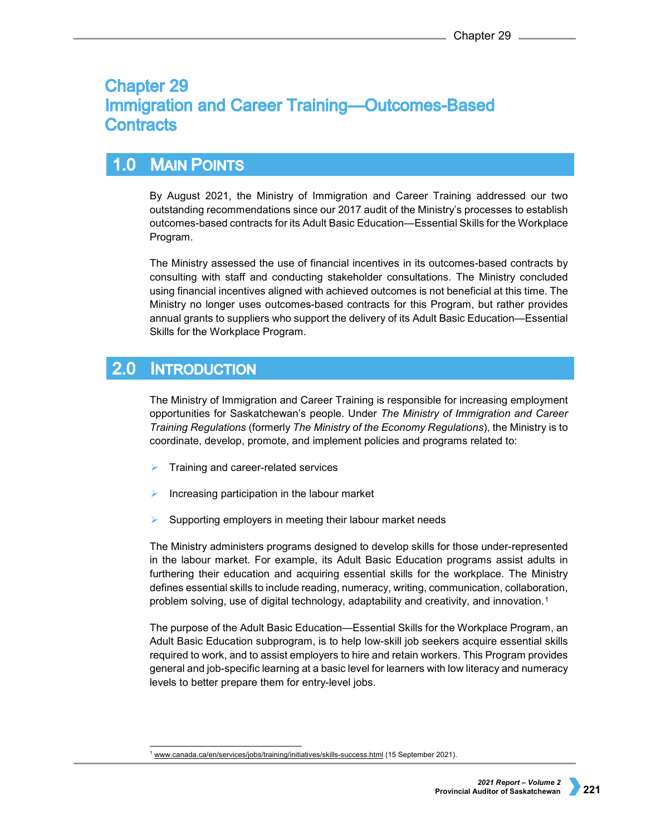# **Chapter 29 Immigration and Career Training-Outcomes-Based Contracts**

## $1.0$ **MAIN POINTS**

By August 2021, the Ministry of Immigration and Career Training addressed our two outstanding recommendations since our 2017 audit of the Ministry's processes to establish outcomes-based contracts for its Adult Basic Education—Essential Skills for the Workplace Program.

The Ministry assessed the use of financial incentives in its outcomes-based contracts by consulting with staff and conducting stakeholder consultations. The Ministry concluded using financial incentives aligned with achieved outcomes is not beneficial at this time. The Ministry no longer uses outcomes-based contracts for this Program, but rather provides annual grants to suppliers who support the delivery of its Adult Basic Education—Essential Skills for the Workplace Program.

#### $2.0$ **INTRODUCTION**

The Ministry of Immigration and Career Training is responsible for increasing employment opportunities for Saskatchewan's people. Under *The Ministry of Immigration and Career Training Regulations* (formerly *The Ministry of the Economy Regulations*), the Ministry is to coordinate, develop, promote, and implement policies and programs related to:

- Training and career-related services
- Increasing participation in the labour market
- Supporting employers in meeting their labour market needs

The Ministry administers programs designed to develop skills for those under-represented in the labour market. For example, its Adult Basic Education programs assist adults in furthering their education and acquiring essential skills for the workplace. The Ministry defines essential skills to include reading, numeracy, writing, communication, collaboration, problem solving, use of digital technology, adaptability and creativity, and innovation.[1](#page-0-0)

The purpose of the Adult Basic Education—Essential Skills for the Workplace Program, an Adult Basic Education subprogram, is to help low-skill job seekers acquire essential skills required to work, and to assist employers to hire and retain workers. This Program provides general and job-specific learning at a basic level for learners with low literacy and numeracy levels to better prepare them for entry-level jobs.

<span id="page-0-0"></span><sup>&</sup>lt;sup>1</sup> [www.canada.ca/en/services/jobs/training/initiatives/skills-success.html](http://www.canada.ca/en/services/jobs/training/initiatives/skills-success.html) (15 September 2021).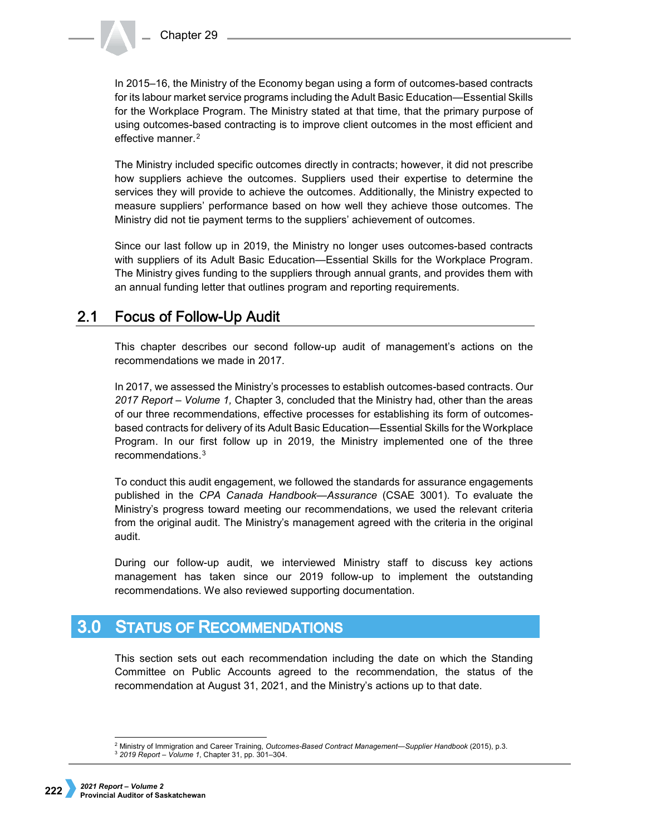In 2015–16, the Ministry of the Economy began using a form of outcomes-based contracts for its labour market service programs including the Adult Basic Education—Essential Skills for the Workplace Program. The Ministry stated at that time, that the primary purpose of using outcomes-based contracting is to improve client outcomes in the most efficient and effective manner.<sup>[2](#page-1-0)</sup>

The Ministry included specific outcomes directly in contracts; however, it did not prescribe how suppliers achieve the outcomes. Suppliers used their expertise to determine the services they will provide to achieve the outcomes. Additionally, the Ministry expected to measure suppliers' performance based on how well they achieve those outcomes. The Ministry did not tie payment terms to the suppliers' achievement of outcomes.

Since our last follow up in 2019, the Ministry no longer uses outcomes-based contracts with suppliers of its Adult Basic Education—Essential Skills for the Workplace Program. The Ministry gives funding to the suppliers through annual grants, and provides them with an annual funding letter that outlines program and reporting requirements.

#### $2.1$ **Focus of Follow-Up Audit**

This chapter describes our second follow-up audit of management's actions on the recommendations we made in 2017.

In 2017, we assessed the Ministry's processes to establish outcomes-based contracts. Our *2017 Report – Volume 1,* Chapter 3, concluded that the Ministry had, other than the areas of our three recommendations, effective processes for establishing its form of outcomesbased contracts for delivery of its Adult Basic Education—Essential Skills for the Workplace Program. In our first follow up in 2019, the Ministry implemented one of the three recommendations.[3](#page-1-1)

To conduct this audit engagement, we followed the standards for assurance engagements published in the *CPA Canada Handbook—Assurance* (CSAE 3001). To evaluate the Ministry's progress toward meeting our recommendations, we used the relevant criteria from the original audit. The Ministry's management agreed with the criteria in the original audit.

During our follow-up audit, we interviewed Ministry staff to discuss key actions management has taken since our 2019 follow-up to implement the outstanding recommendations. We also reviewed supporting documentation.

### $3.0<sub>1</sub>$ **STATUS OF RECOMMENDATIONS**

This section sets out each recommendation including the date on which the Standing Committee on Public Accounts agreed to the recommendation, the status of the recommendation at August 31, 2021, and the Ministry's actions up to that date.

 <sup>2</sup> Ministry of Immigration and Career Training, *Outcomes-Based Contract Management—Supplier Handbook* (2015), p.3.

<span id="page-1-1"></span><span id="page-1-0"></span><sup>3</sup> *2019 Report – Volume 1*, Chapter 31, pp. 301–304.